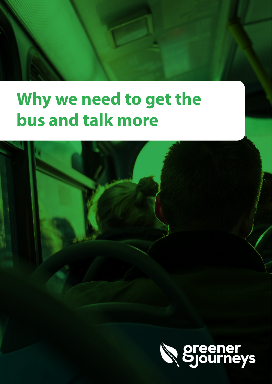# **Why we need to get the bus and talk more**

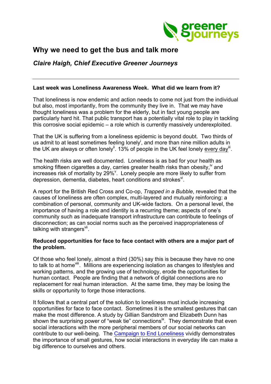

# **Why we need to get the bus and talk more**

*Claire Haigh, Chief Executive Greener Journeys*

# **Last week was Loneliness Awareness Week. What did we learn from it?**

That loneliness is now endemic and action needs to come not just from the individual but also, most importantly, from the community they live in. That we may have thought loneliness was a problem for the elderly, but in fact young people are particularly hard hit. That public transport has a potentially vital role to play in tackling this corrosive social epidemic – a role which is currently massively underexploited.

That the UK is suffering from a loneliness epidemic is beyond doubt. Two thirds of us admit to at least sometimes feeling lonely<sup>i</sup>, and more than nine million adults in the UK are always or often lonely<sup>ii</sup>. 13% of people in the UK feel lonely every day<sup>iii</sup>.

The health risks are well documented. Loneliness is as bad for your health as smoking fifteen cigarettes a day, carries greater health risks than obesity.<sup>iv</sup> and increases risk of mortality by 29% $^{\circ}$ . Lonely people are more likely to suffer from depression, dementia, diabetes, heart conditions and strokes<sup>vi</sup>.

A report for the British Red Cross and Co-op, *Trapped in a Bubble*, revealed that the causes of loneliness are often complex, multi-layered and mutually reinforcing: a combination of personal, community and UK-wide factors. On a personal level, the importance of having a role and identity is a recurring theme; aspects of one's community such as inadequate transport infrastructure can contribute to feelings of disconnection; as can social norms such as the perceived inappropriateness of talking with strangers $\frac{v}{v}$ .

# **Reduced opportunities for face to face contact with others are a major part of the problem.**

Of those who feel lonely, almost a third (30%) say this is because they have no one to talk to at home<sup>viii</sup>. Millions are experiencing isolation as changes to lifestyles and working patterns, and the growing use of technology, erode the opportunities for human contact. People are finding that a network of digital connections are no replacement for real human interaction. At the same time, they may be losing the skills or opportunity to forge those interactions.

It follows that a central part of the solution to loneliness must include increasing opportunities for face to face contact. Sometimes it is the smallest gestures that can make the most difference. A study by Gillian Sandstrom and Elizabeth Dunn has shown the surprising power of "weak tie" connections<sup>ix</sup>. They demonstrate that even social interactions with the more peripheral members of our social networks can contribute to our well-being. The Campaign to End Loneliness vividly demonstrates the importance of small gestures, how social interactions in everyday life can make a big difference to ourselves and others.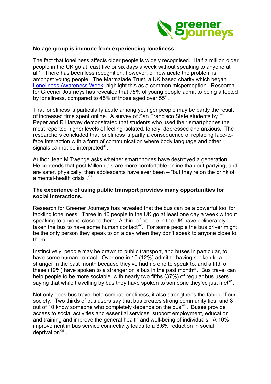

#### **No age group is immune from experiencing loneliness.**

The fact that loneliness affects older people is widely recognised. Half a million older people in the UK go at least five or six days a week without speaking to anyone at  $\mathsf{all}^{\times}$ . There has been less recognition, however, of how acute the problem is amongst young people. The Marmalade Trust, a UK based charity which began Loneliness Awareness Week, highlight this as a common misperception. Research for Greener Journeys has revealed that 75% of young people admit to being affected by loneliness, compared to 45% of those aged over  $55<sup>x</sup>$ .

That loneliness is particularly acute among younger people may be partly the result of increased time spent online. A survey of San Francisco State students by E Peper and R Harvey demonstrated that students who used their smartphones the most reported higher levels of feeling isolated, lonely, depressed and anxious. The researchers concluded that loneliness is partly a consequence of replacing face-toface interaction with a form of communication where body language and other signals cannot be interpreted<sup>xii</sup>.

Author Jean M Twenge asks whether smartphones have destroyed a generation. He contends that post-Millennials are more comfortable online than out partying, and are safer, physically, than adolescents have ever been – "but they're on the brink of a mental-health crisis". Xiii

## **The experience of using public transport provides many opportunities for social interactions.**

Research for Greener Journeys has revealed that the bus can be a powerful tool for tackling loneliness. Three in 10 people in the UK go at least one day a week without speaking to anyone close to them. A third of people in the UK have deliberately taken the bus to have some human contact<sup>xiv</sup>. For some people the bus driver might be the only person they speak to on a day when they don't speak to anyone close to them.

Instinctively, people may be drawn to public transport, and buses in particular, to have some human contact. Over one in 10 (12%) admit to having spoken to a stranger in the past month because they've had no one to speak to, and a fifth of these (19%) have spoken to a stranger on a bus in the past month<sup>xy</sup>. Bus travel can help people to be more sociable, with nearly two fifths (37%) of regular bus users saying that while travelling by bus they have spoken to someone they've just met $x^M$ .

Not only does bus travel help combat loneliness, it also strengthens the fabric of our society. Two thirds of bus users say that bus creates strong community ties, and 8 out of 10 know someone who completely depends on the bus<sup>xvii</sup>. Buses provide access to social activities and essential services, support employment, education and training and improve the general health and well-being of individuals. A 10% improvement in bus service connectivity leads to a 3.6% reduction in social deprivation<sup>xviii</sup>.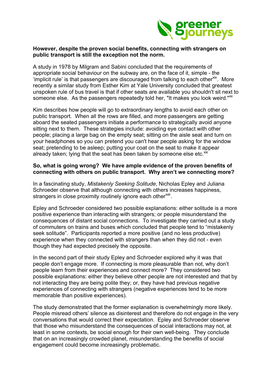

#### **However, despite the proven social benefits, connecting with strangers on public transport is still the exception not the norm.**

A study in 1978 by Milgram and Sabini concluded that the requirements of appropriate social behaviour on the subway are, on the face of it, simple - the 'implicit rule' is that passengers are discouraged from talking to each other<sup>xix</sup>. More recently a similar study from Esther Kim at Yale University concluded that greatest unspoken rule of bus travel is that if other seats are available you shouldn't sit next to someone else. As the passengers repeatedly told her. "It makes you look weird."<sup>xx</sup>

Kim describes how people will go to extraordinary lengths to avoid each other on public transport. When all the rows are filled, and more passengers are getting aboard the seated passengers initiate a performance to strategically avoid anyone sitting next to them. These strategies include: avoiding eye contact with other people; placing a large bag on the empty seat; sitting on the aisle seat and turn on your headphones so you can pretend you can't hear people asking for the window seat; pretending to be asleep; putting your coat on the seat to make it appear already taken; lying that the seat has been taken by someone else etc. $^{xx}$ 

### **So, what is going wrong? We have ample evidence of the proven benefits of connecting with others on public transport. Why aren't we connecting more?**

In a fascinating study, *Mistakenly Seeking Solitude*, Nicholas Epley and Juliana Schroeder observe that although connecting with others increases happiness, strangers in close proximity routinely ignore each other<sup>xxii</sup>.

Epley and Schroeder considered two possible explanations: either solitude is a more positive experience than interacting with strangers; or people misunderstand the consequences of distant social connections. To investigate they carried out a study of commuters on trains and buses which concluded that people tend to "mistakenly seek solitude". Participants reported a more positive (and no less productive) experience when they connected with strangers than when they did not - even though they had expected precisely the opposite.

In the second part of their study Epley and Schroeder explored why it was that people don't engage more. If connecting is more pleasurable than not, why don't people learn from their experiences and connect more? They considered two possible explanations: either they believe other people are not interested and that by not interacting they are being polite they; or, they have had previous negative experiences of connecting with strangers (negative experiences tend to be more memorable than positive experiences).

The study demonstrated that the former explanation is overwhelmingly more likely. People misread others' silence as disinterest and therefore do not engage in the very conversations that would correct their expectation. Epley and Schroeder observe that those who misunderstand the consequences of social interactions may not, at least in some contexts, be social enough for their own well-being. They conclude that on an increasingly crowded planet, misunderstanding the benefits of social engagement could become increasingly problematic.